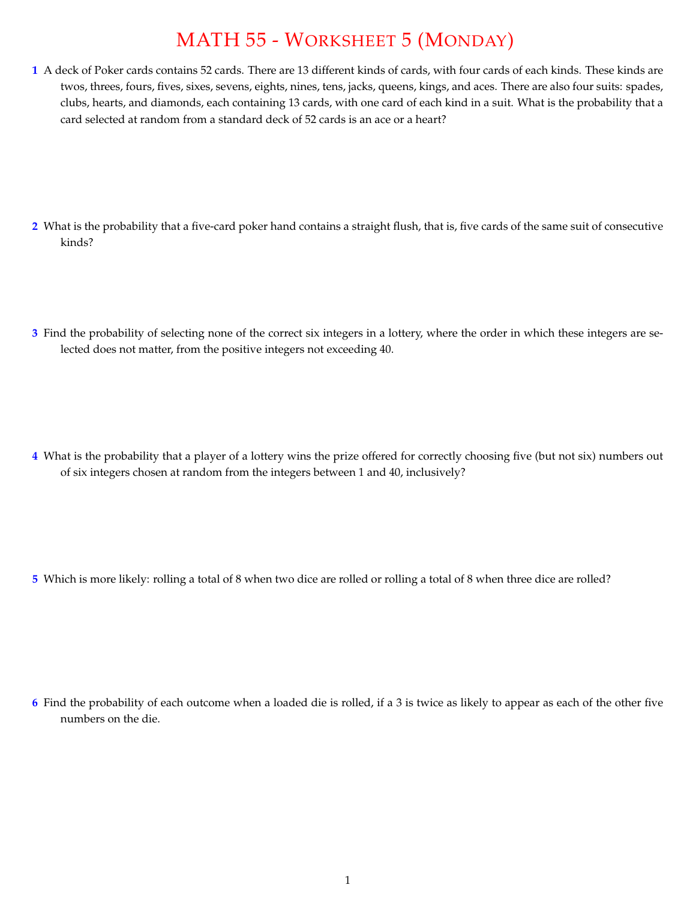## MATH 55 - WORKSHEET 5 (MONDAY)

**1** A deck of Poker cards contains 52 cards. There are 13 different kinds of cards, with four cards of each kinds. These kinds are twos, threes, fours, fives, sixes, sevens, eights, nines, tens, jacks, queens, kings, and aces. There are also four suits: spades, clubs, hearts, and diamonds, each containing 13 cards, with one card of each kind in a suit. What is the probability that a card selected at random from a standard deck of 52 cards is an ace or a heart?

- **2** What is the probability that a five-card poker hand contains a straight flush, that is, five cards of the same suit of consecutive kinds?
- **3** Find the probability of selecting none of the correct six integers in a lottery, where the order in which these integers are selected does not matter, from the positive integers not exceeding 40.

**4** What is the probability that a player of a lottery wins the prize offered for correctly choosing five (but not six) numbers out of six integers chosen at random from the integers between 1 and 40, inclusively?

**5** Which is more likely: rolling a total of 8 when two dice are rolled or rolling a total of 8 when three dice are rolled?

**6** Find the probability of each outcome when a loaded die is rolled, if a 3 is twice as likely to appear as each of the other five numbers on the die.